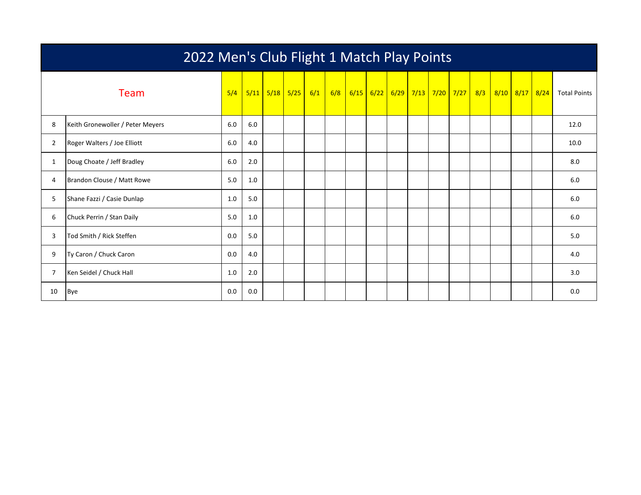| 2022 Men's Club Flight 1 Match Play Points |                                  |     |     |  |                                 |  |     |      |  |                  |  |  |                            |  |                |                     |
|--------------------------------------------|----------------------------------|-----|-----|--|---------------------------------|--|-----|------|--|------------------|--|--|----------------------------|--|----------------|---------------------|
|                                            | Team                             | 5/4 |     |  | <mark>5/11 5/18 5/25 6/1</mark> |  | 6/8 | 6/15 |  | $6/22$ 6/29 7/13 |  |  | <mark>7/20 7/27 8/3</mark> |  | 8/10 8/17 8/24 | <b>Total Points</b> |
| 8                                          | Keith Gronewoller / Peter Meyers | 6.0 | 6.0 |  |                                 |  |     |      |  |                  |  |  |                            |  |                | 12.0                |
| $\overline{2}$                             | Roger Walters / Joe Elliott      | 6.0 | 4.0 |  |                                 |  |     |      |  |                  |  |  |                            |  |                | 10.0                |
| 1                                          | Doug Choate / Jeff Bradley       | 6.0 | 2.0 |  |                                 |  |     |      |  |                  |  |  |                            |  |                | 8.0                 |
| 4                                          | Brandon Clouse / Matt Rowe       | 5.0 | 1.0 |  |                                 |  |     |      |  |                  |  |  |                            |  |                | 6.0                 |
| 5                                          | Shane Fazzi / Casie Dunlap       | 1.0 | 5.0 |  |                                 |  |     |      |  |                  |  |  |                            |  |                | 6.0                 |
| 6                                          | Chuck Perrin / Stan Daily        | 5.0 | 1.0 |  |                                 |  |     |      |  |                  |  |  |                            |  |                | 6.0                 |
| 3                                          | Tod Smith / Rick Steffen         | 0.0 | 5.0 |  |                                 |  |     |      |  |                  |  |  |                            |  |                | 5.0                 |
| 9                                          | Ty Caron / Chuck Caron           | 0.0 | 4.0 |  |                                 |  |     |      |  |                  |  |  |                            |  |                | 4.0                 |
| 7                                          | Ken Seidel / Chuck Hall          | 1.0 | 2.0 |  |                                 |  |     |      |  |                  |  |  |                            |  |                | 3.0                 |
| 10                                         | <b>Bye</b>                       | 0.0 | 0.0 |  |                                 |  |     |      |  |                  |  |  |                            |  |                | 0.0                 |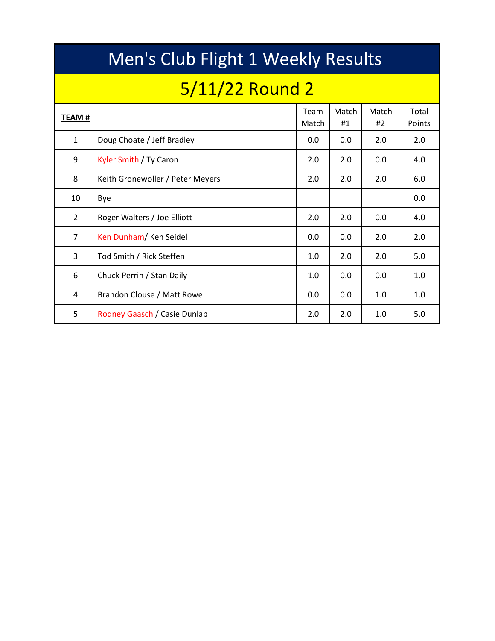|                | Men's Club Flight 1 Weekly Results |               |             |             |                 |  |  |  |  |  |  |  |  |  |
|----------------|------------------------------------|---------------|-------------|-------------|-----------------|--|--|--|--|--|--|--|--|--|
|                | 5/11/22 Round 2                    |               |             |             |                 |  |  |  |  |  |  |  |  |  |
| TEAM #         |                                    | Team<br>Match | Match<br>#1 | Match<br>#2 | Total<br>Points |  |  |  |  |  |  |  |  |  |
| $\mathbf{1}$   | Doug Choate / Jeff Bradley         | 0.0           | 0.0         | 2.0         | 2.0             |  |  |  |  |  |  |  |  |  |
| 9              | Kyler Smith / Ty Caron             | 2.0           | 2.0         | 0.0         | 4.0             |  |  |  |  |  |  |  |  |  |
| 8              | Keith Gronewoller / Peter Meyers   | 2.0           | 2.0         | 2.0         | 6.0             |  |  |  |  |  |  |  |  |  |
| 10             | Bye                                |               |             |             | 0.0             |  |  |  |  |  |  |  |  |  |
| $\overline{2}$ | Roger Walters / Joe Elliott        | 2.0           | 2.0         | 0.0         | 4.0             |  |  |  |  |  |  |  |  |  |
| $\overline{7}$ | Ken Dunham/Ken Seidel              | 0.0           | 0.0         | 2.0         | 2.0             |  |  |  |  |  |  |  |  |  |
| 3              | Tod Smith / Rick Steffen           | 1.0           | 2.0         | 2.0         | 5.0             |  |  |  |  |  |  |  |  |  |
| 6              | Chuck Perrin / Stan Daily          | 1.0           | 0.0         | 0.0         | 1.0             |  |  |  |  |  |  |  |  |  |
| 4              | Brandon Clouse / Matt Rowe         | 0.0           | 0.0         | 1.0         | 1.0             |  |  |  |  |  |  |  |  |  |
| 5              | Rodney Gaasch / Casie Dunlap       | 2.0           | 2.0         | 1.0         | 5.0             |  |  |  |  |  |  |  |  |  |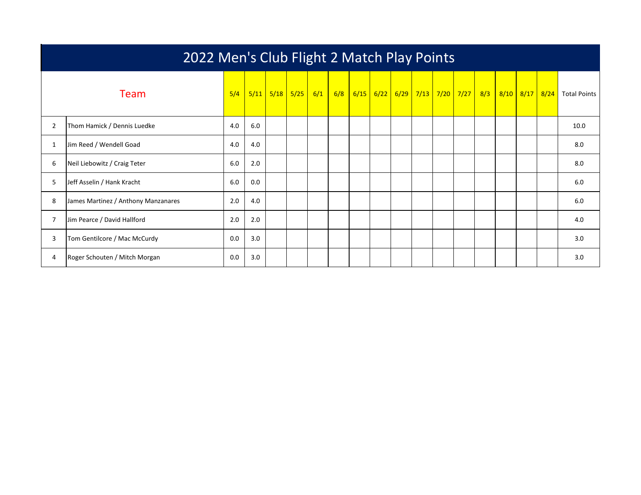|                | 2022 Men's Club Flight 2 Match Play Points |     |      |  |             |     |     |  |  |                               |  |  |  |     |  |                |                     |
|----------------|--------------------------------------------|-----|------|--|-------------|-----|-----|--|--|-------------------------------|--|--|--|-----|--|----------------|---------------------|
|                | Team                                       | 5/4 | 5/11 |  | $5/18$ 5/25 | 6/1 | 6/8 |  |  | 6/15 6/22 6/29 7/13 7/20 7/27 |  |  |  | 8/3 |  | 8/10 8/17 8/24 | <b>Total Points</b> |
| $\overline{2}$ | Thom Hamick / Dennis Luedke                | 4.0 | 6.0  |  |             |     |     |  |  |                               |  |  |  |     |  |                | 10.0                |
|                | Jim Reed / Wendell Goad                    | 4.0 | 4.0  |  |             |     |     |  |  |                               |  |  |  |     |  |                | 8.0                 |
| 6              | Neil Liebowitz / Craig Teter               | 6.0 | 2.0  |  |             |     |     |  |  |                               |  |  |  |     |  |                | 8.0                 |
| 5              | Jeff Asselin / Hank Kracht                 | 6.0 | 0.0  |  |             |     |     |  |  |                               |  |  |  |     |  |                | 6.0                 |
| 8              | James Martinez / Anthony Manzanares        | 2.0 | 4.0  |  |             |     |     |  |  |                               |  |  |  |     |  |                | 6.0                 |
|                | Jim Pearce / David Hallford                | 2.0 | 2.0  |  |             |     |     |  |  |                               |  |  |  |     |  |                | 4.0                 |
| 3              | Tom Gentilcore / Mac McCurdy               | 0.0 | 3.0  |  |             |     |     |  |  |                               |  |  |  |     |  |                | 3.0                 |
| 4              | Roger Schouten / Mitch Morgan              | 0.0 | 3.0  |  |             |     |     |  |  |                               |  |  |  |     |  |                | 3.0                 |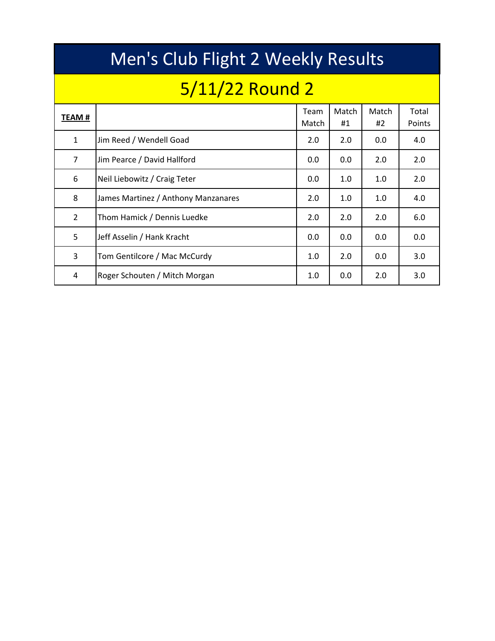|               | Men's Club Flight 2 Weekly Results  |               |             |             |                 |  |  |  |  |  |  |  |  |  |  |
|---------------|-------------------------------------|---------------|-------------|-------------|-----------------|--|--|--|--|--|--|--|--|--|--|
|               | 5/11/22 Round 2                     |               |             |             |                 |  |  |  |  |  |  |  |  |  |  |
| TEAM #        |                                     | Team<br>Match | Match<br>#1 | Match<br>#2 | Total<br>Points |  |  |  |  |  |  |  |  |  |  |
| $\mathbf{1}$  | Jim Reed / Wendell Goad             | 2.0           | 2.0         | 0.0         | 4.0             |  |  |  |  |  |  |  |  |  |  |
| 7             | Jim Pearce / David Hallford         | 0.0           | 0.0         | 2.0         | 2.0             |  |  |  |  |  |  |  |  |  |  |
| 6             | Neil Liebowitz / Craig Teter        | 0.0           | 1.0         | 1.0         | 2.0             |  |  |  |  |  |  |  |  |  |  |
| 8             | James Martinez / Anthony Manzanares | 2.0           | 1.0         | 1.0         | 4.0             |  |  |  |  |  |  |  |  |  |  |
| $\mathcal{P}$ | Thom Hamick / Dennis Luedke         | 2.0           | 2.0         | 2.0         | 6.0             |  |  |  |  |  |  |  |  |  |  |
| 5             | Jeff Asselin / Hank Kracht          | 0.0           | 0.0         | 0.0         | 0.0             |  |  |  |  |  |  |  |  |  |  |
| 3             | Tom Gentilcore / Mac McCurdy        | 1.0           | 2.0         | 0.0         | 3.0             |  |  |  |  |  |  |  |  |  |  |
| 4             | Roger Schouten / Mitch Morgan       | 1.0           | 0.0         | 2.0         | 3.0             |  |  |  |  |  |  |  |  |  |  |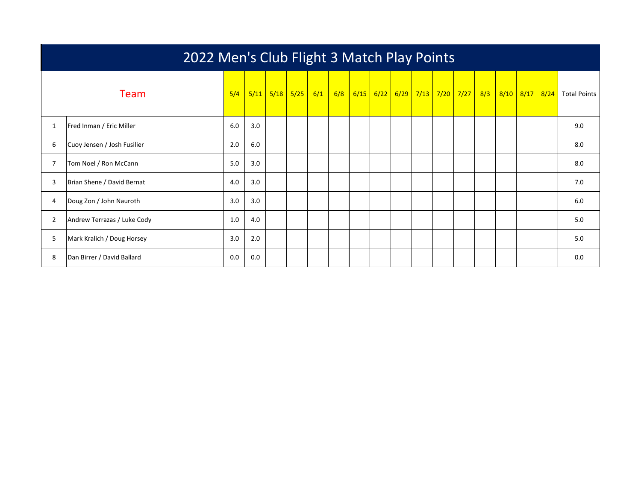|                | 2022 Men's Club Flight 3 Match Play Points |     |     |  |                            |  |     |      |  |                              |  |  |  |  |  |                             |
|----------------|--------------------------------------------|-----|-----|--|----------------------------|--|-----|------|--|------------------------------|--|--|--|--|--|-----------------------------|
|                | Team                                       | 5/4 |     |  | $5/11$ $5/18$ $5/25$ $6/1$ |  | 6/8 | 6/15 |  | 6/22 6/29 7/13 7/20 7/27 8/3 |  |  |  |  |  | 8/10 8/17 8/24 Total Points |
| $\mathbf{1}$   | Fred Inman / Eric Miller                   | 6.0 | 3.0 |  |                            |  |     |      |  |                              |  |  |  |  |  | 9.0                         |
| 6              | Cuoy Jensen / Josh Fusilier                | 2.0 | 6.0 |  |                            |  |     |      |  |                              |  |  |  |  |  | 8.0                         |
| 7              | Tom Noel / Ron McCann                      | 5.0 | 3.0 |  |                            |  |     |      |  |                              |  |  |  |  |  | 8.0                         |
| 3              | Brian Shene / David Bernat                 | 4.0 | 3.0 |  |                            |  |     |      |  |                              |  |  |  |  |  | 7.0                         |
| 4              | Doug Zon / John Nauroth                    | 3.0 | 3.0 |  |                            |  |     |      |  |                              |  |  |  |  |  | 6.0                         |
| $\overline{2}$ | Andrew Terrazas / Luke Cody                | 1.0 | 4.0 |  |                            |  |     |      |  |                              |  |  |  |  |  | 5.0                         |
| 5              | Mark Kralich / Doug Horsey                 | 3.0 | 2.0 |  |                            |  |     |      |  |                              |  |  |  |  |  | 5.0                         |
| 8              | Dan Birrer / David Ballard                 | 0.0 | 0.0 |  |                            |  |     |      |  |                              |  |  |  |  |  | 0.0                         |